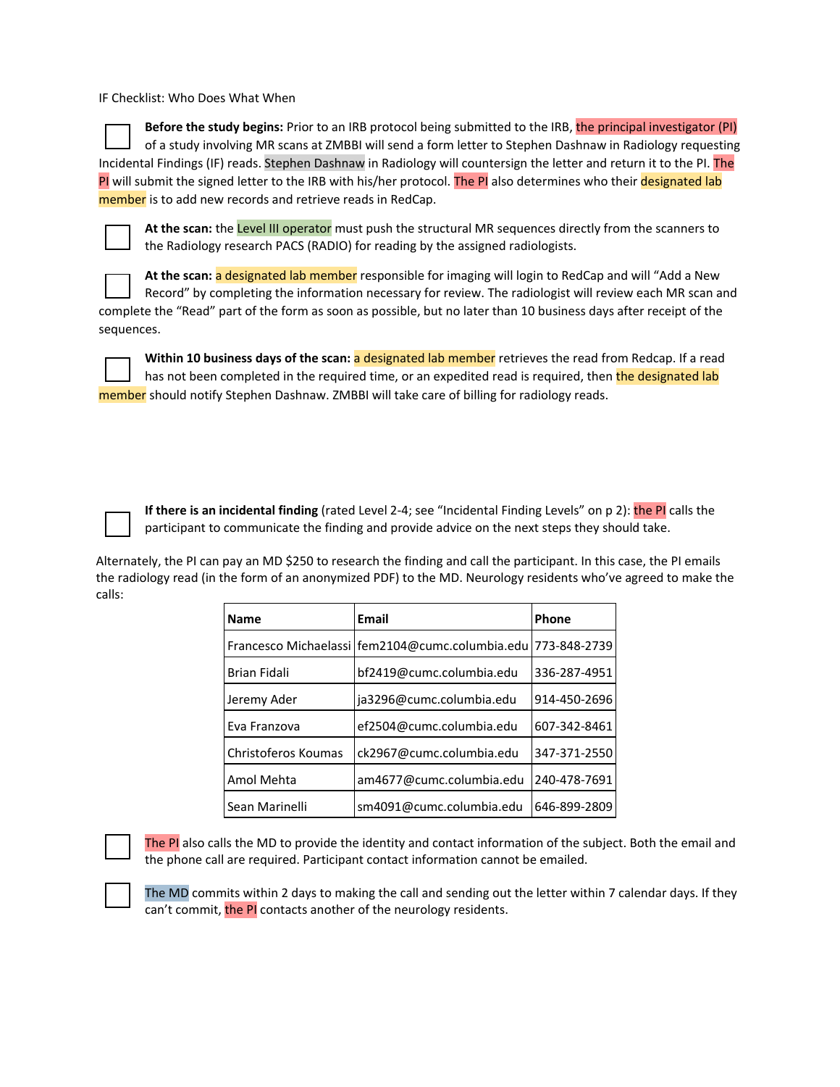IF Checklist: Who Does What When

**Before the study begins:** Prior to an IRB protocol being submitted to the IRB, the principal investigator (PI) of a study involving MR scans at ZMBBI will send a form letter to Stephen Dashnaw in Radiology requesting Incidental Findings (IF) reads. Stephen Dashnaw in Radiology will countersign the letter and return it to the PI. The PI will submit the signed letter to the IRB with his/her protocol. The PI also determines who their designated lab member is to add new records and retrieve reads in RedCap.



**At the scan:** the Level III operator must push the structural MR sequences directly from the scanners to the Radiology research PACS (RADIO) for reading by the assigned radiologists.

**At the scan:** a designated lab member responsible for imaging will login to RedCap and will "Add a New Record" by completing the information necessary for review. The radiologist will review each MR scan and complete the "Read" part of the form as soon as possible, but no later than 10 business days after receipt of the sequences.



Within 10 business days of the scan: a designated lab member retrieves the read from Redcap. If a read has not been completed in the required time, or an expedited read is required, then the designated lab member should notify Stephen Dashnaw. ZMBBI will take care of billing for radiology reads.

**If there is an incidental finding** (rated Level 2-4; see "Incidental Finding Levels" on p 2): the PI calls the participant to communicate the finding and provide advice on the next steps they should take.

Alternately, the PI can pay an MD \$250 to research the finding and call the participant. In this case, the PI emails the radiology read (in the form of an anonymized PDF) to the MD. Neurology residents who've agreed to make the calls:

| <b>Name</b>         | Email                                                            | Phone        |
|---------------------|------------------------------------------------------------------|--------------|
|                     | Francesco Michaelassi   fem2104@cumc.columbia.edu   773-848-2739 |              |
| <b>Brian Fidali</b> | bf2419@cumc.columbia.edu                                         | 336-287-4951 |
| Jeremy Ader         | ja3296@cumc.columbia.edu                                         | 914-450-2696 |
| Eva Franzova        | ef2504@cumc.columbia.edu                                         | 607-342-8461 |
| Christoferos Koumas | ck2967@cumc.columbia.edu                                         | 347-371-2550 |
| Amol Mehta          | am4677@cumc.columbia.edu                                         | 240-478-7691 |
| Sean Marinelli      | sm4091@cumc.columbia.edu                                         | 646-899-2809 |

The PI also calls the MD to provide the identity and contact information of the subject. Both the email and the phone call are required. Participant contact information cannot be emailed.

The MD commits within 2 days to making the call and sending out the letter within 7 calendar days. If they can't commit, the PI contacts another of the neurology residents.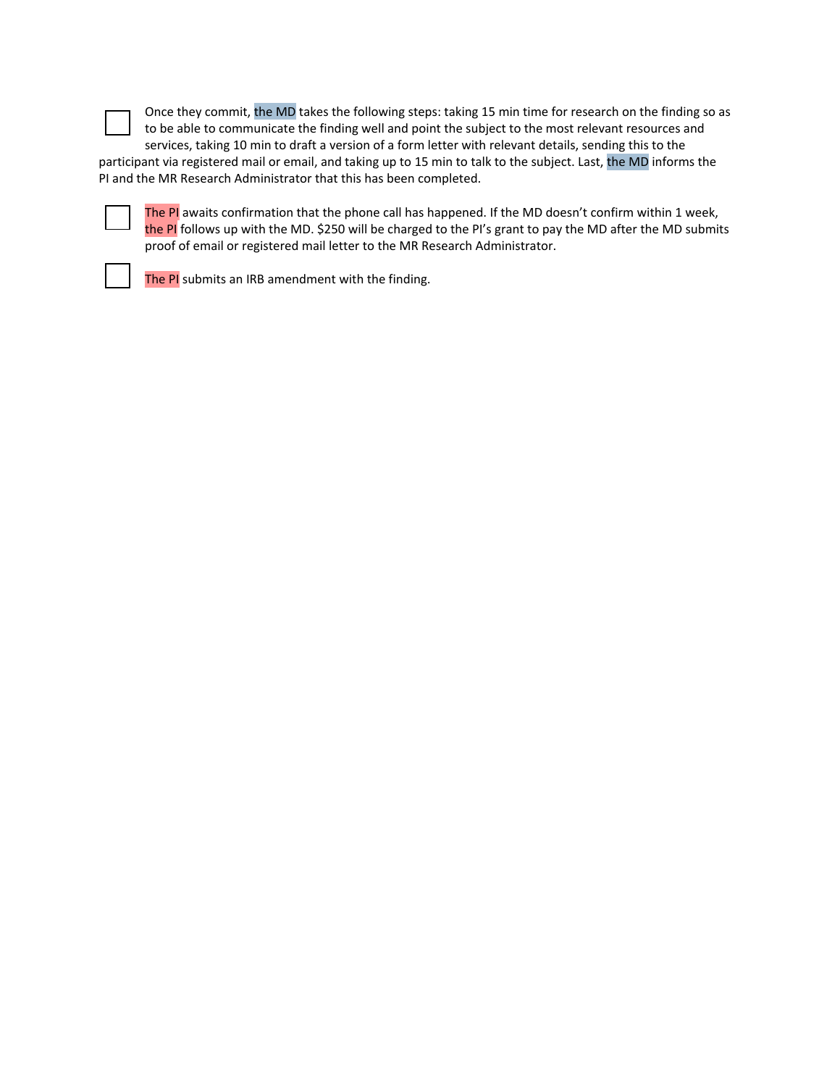Once they commit, the MD takes the following steps: taking 15 min time for research on the finding so as to be able to communicate the finding well and point the subject to the most relevant resources and services, taking 10 min to draft a version of a form letter with relevant details, sending this to the

participant via registered mail or email, and taking up to 15 min to talk to the subject. Last, the MD informs the PI and the MR Research Administrator that this has been completed.



The PI awaits confirmation that the phone call has happened. If the MD doesn't confirm within 1 week, the PI follows up with the MD. \$250 will be charged to the PI's grant to pay the MD after the MD submits proof of email or registered mail letter to the MR Research Administrator.



The PI submits an IRB amendment with the finding.